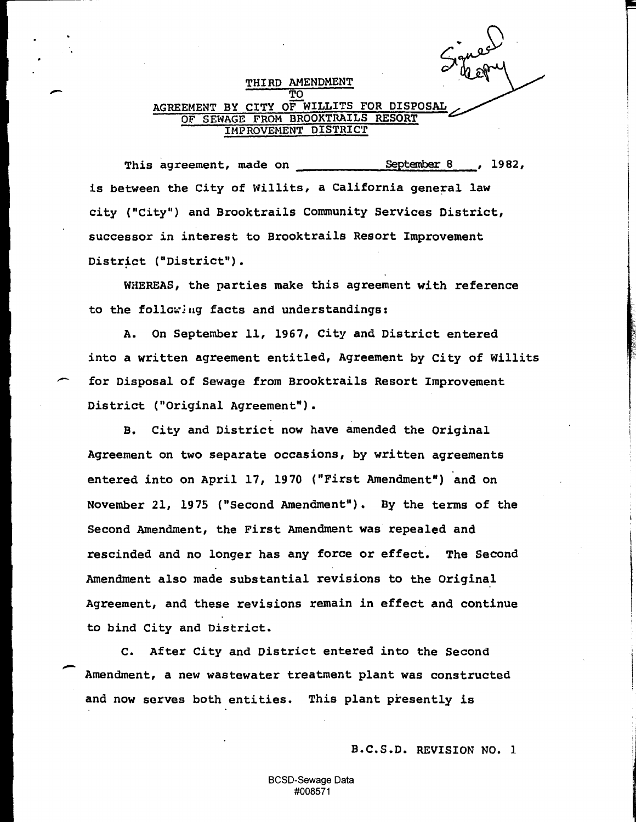THIRD AMENDMENT TO AGREEMENT BY CITY OF WILLITS FOR DISPOSAL OF SEWAGE FROM BROOKTRAILS RESORT IHPROVEHENT DISTRIC'r

This agreement, made on  $\overline{\phantom{0}}$  September 8 , 1982, is between the City of Willits, a California general law city ("City") and Brooktrails Conununity Services District, successor in interest to Brooktrails Resort Improvement District ("District").

-

-

-

WHEREAS, the parties make this agreement with reference to the following facts and understandings:

A. On September 11, 1967, City and District entered into a written agreement entitled, Agreement by City of Willits for Disposal of Sewage from Brooktrails Resort Improvement District ("Original Agreement").

B. City and District now have amended the Original Agreement on two separate occasions, by written agreements entered into on April 17, 1970 ("First Amendment") and on November 21, 1975 ("Second Amendment"). By the terms of the Second Amendment, the First Amendment was repealed and rescinded and no longer has any force or effect. The Second Amendment also made substantial revisions to the Original Agreement, and these revisions remain in effect and continue to bind City and District.

c. After City and District entered into the Second Amendment, a new wastewater treatment plant was constructed and now serves both entities. This plant presently is

B.C.S.D. REVISION NO. 1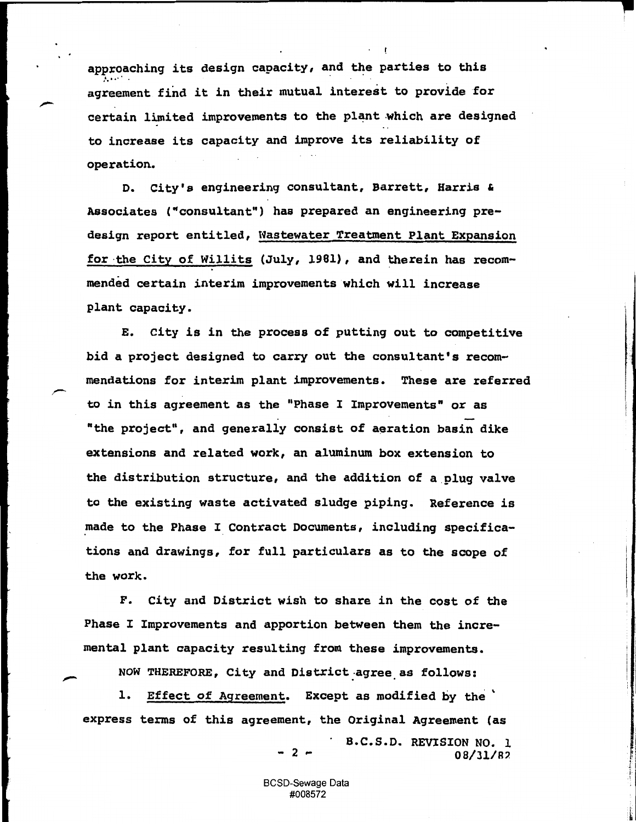approaching its design capacity, and the parties to this agreement find it in their mutual interest to provide for certain limited improvements to the plant which are designed to increase its capacity and improve its reliability of operation.

o. City's engineering consultant, Barrett, Harris & Associates ("consultant") has prepared an engineering predesign report entitled, Wastewater Treatment Plant Expansion for the City of Willits (July, 1981), and therein has recommended certain interim improvements which will increase plant capacity.

E. City is in the process of putting out to competitive bid a project designed to carry out the consultant's recommendations for interim plant improvements. These are referred to in this agreement as the "Phase I Improvements" or as "the project", and generally consist of aeration basin dike extensions and related work, an aluminum box extension to the distribution structure, and the addition of a plug valve to the existing waste activated sludge piping. Reference is made to the Phase I Contract Documents, including specifications and drawings, for full particulars as to the scope of the work.

F. City and District wish to share in the cost of the Phase I Improvements and apportion between them the incremental plant capacity resulting from these improvements.

NOW THEREFORE, City and District agree as follows:

1. Effect of Agreement. Except as modified by the ' express terms of this agreement, the Original Agreement (as

- 2 -

B.C.S.D. REVISION NO. 1 08/31/R?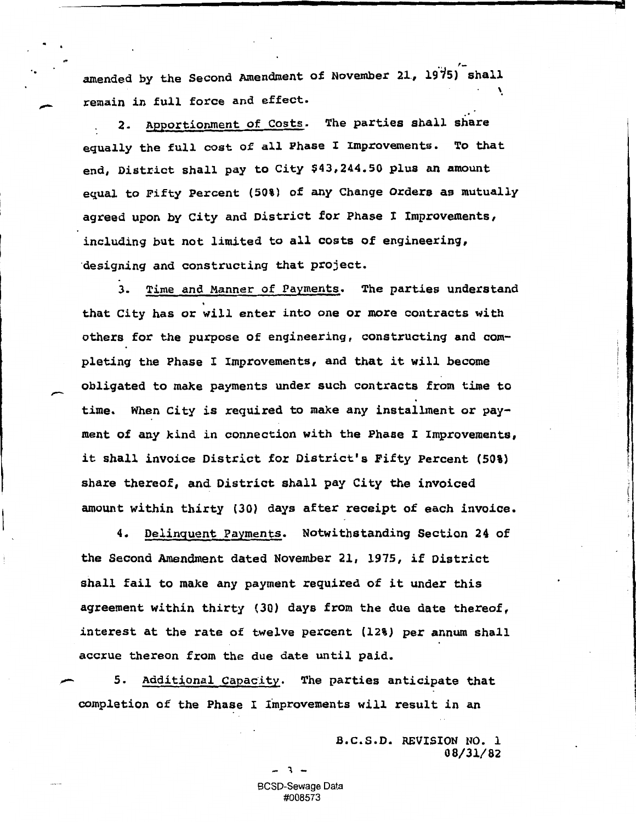amended by the Second Amendment of November 21, 1975) shall \

,\_

remain in full force and effect.<br>2. Apportionment of Costs. The parties shall share equally the full cost of all Phase I Improvements. To that end, District shall pay to City \$43,244.50 plus an amount equal to Fifty Percent (50%) of any Change Orders as mutually agreed upon by City and District for Phase I Improvements, including but not limited to all costs of engineering, ·designing and constructing that project.

3. Time and Manner of Payments. The parties understand that City has or will enter into one *or* more contracts with others for the purpose of engineering, constructing and completing the Phase I Improvements, and that it will become obligated to make payments under such contracts from time to time. When City is required to make any installment *or* payment of any kind *in* connection with the Phase I Improvements, it shall invoice District for District's Fifty Percent (50%) share thereof, and. District shall pay City the invoiced amount within thirty (30) days after receipt of each invoice.

4. Delinquent Payments. Notwithstanding Section 24 of the Second Amendment dated November 21, 1975, if District shall fail to make any payment required of *it* under this agreement within thirty (30) days from the due date thereof, interest at the rate of twelve percent (12%) per annum shall accrue thereon from the due date until paid.

5. Additional Capacity. The parties anticipate that completion of the Phase I Improvements will result in an

> B.C.S.D. REVISION NO. 1 08/31/82

- l -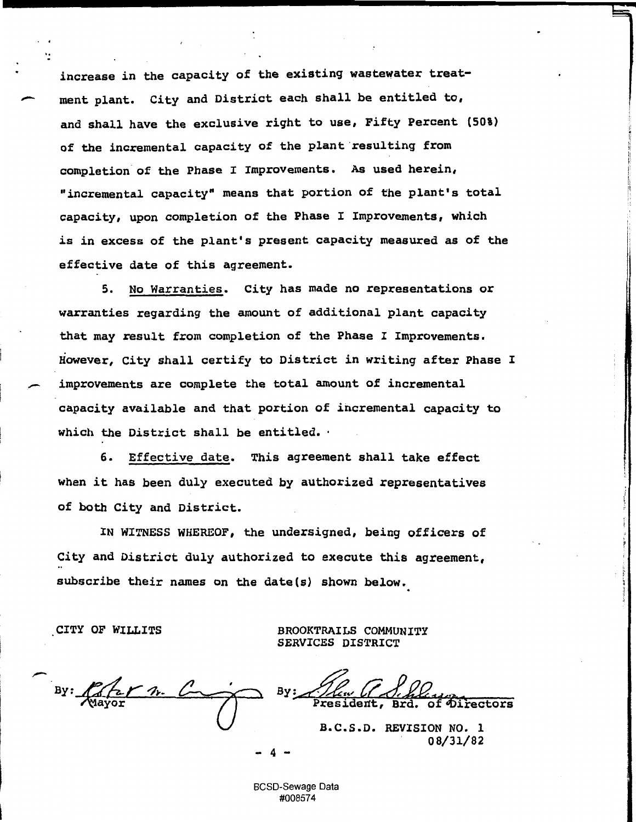increase in the capacity of the existing wastewater treat ment plant. City and District each shall be entitled to, and shall have the exclusive right to use, Fifty Percent (50%) of the incremental capacity of the plant resulting from completion of the Phase I Improvements. As used herein, "incremental capacity" means that portion of the plant's total capacity, upon completion of the Phase I Improvements, which is in excess of the plant's present capacity measured as of the effective date of this agreement.

5. No Warranties. City has made no representations or warranties regarding the amount of additional plant capacity that may result from completion of the Phase I Improvements. However, City shall certify to District in writing after Phase I improvements are complete the total amount of incremental capacity available and that portion of incremental capacity to which the District shall be entitled. ·

6. Effective date. This agreement shall take effect when it has been duly executed by authorized representatives of both City and District.

IN WITNESS WHEREOF, the undersigned, being officers of City and District duly authorized to execute this agreement, subscribe their names on the date(s) shown below.

CITY OF WILLITS BROOKTRAILS COMMUNITY SERVICES DISTRICT

 $By: 622$  $\overline{\mathcal{U}}$ 

**Presi** Brd.

I.

B.C.S.D. REVISION NO. 1 08/31/82

BCSD-Sewage Data #008574

- 4 -